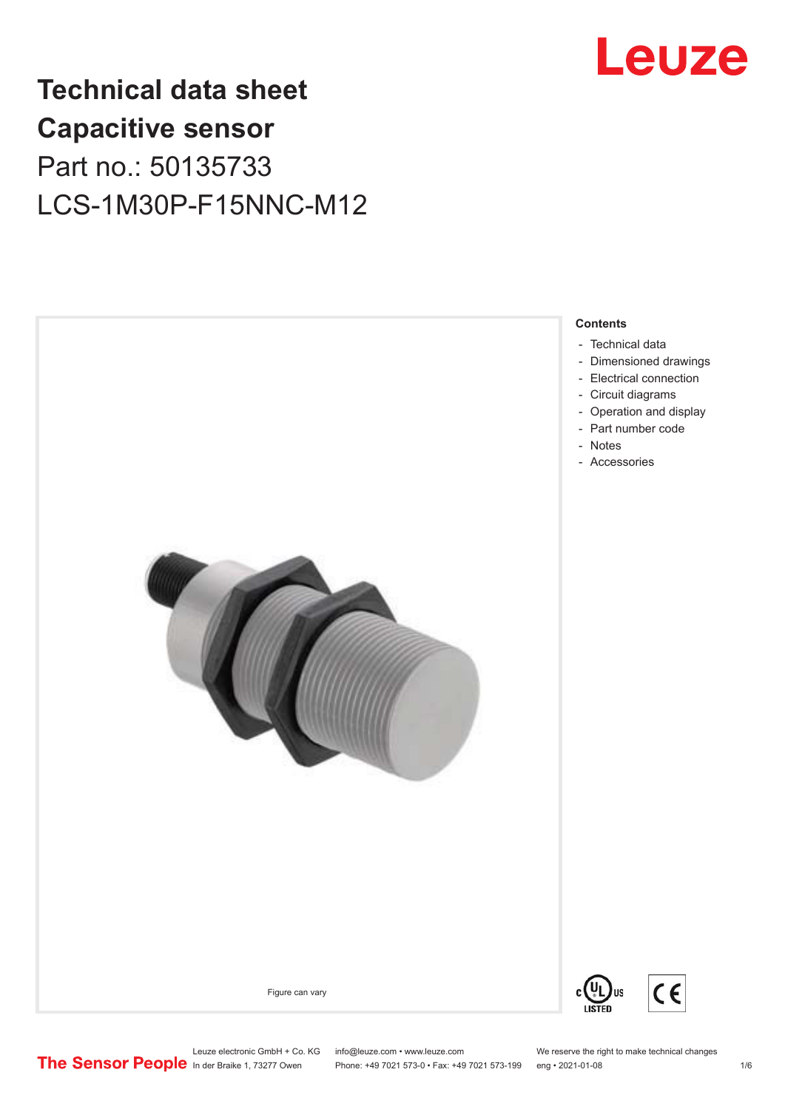

## **Technical data sheet Capacitive sensor** Part no.: 50135733 LCS-1M30P-F15NNC-M12



Leuze electronic GmbH + Co. KG info@leuze.com • www.leuze.com We reserve the right to make technical changes<br> **The Sensor People** in der Braike 1, 73277 Owen Phone: +49 7021 573-0 • Fax: +49 7021 573-199 eng • 2021-01-08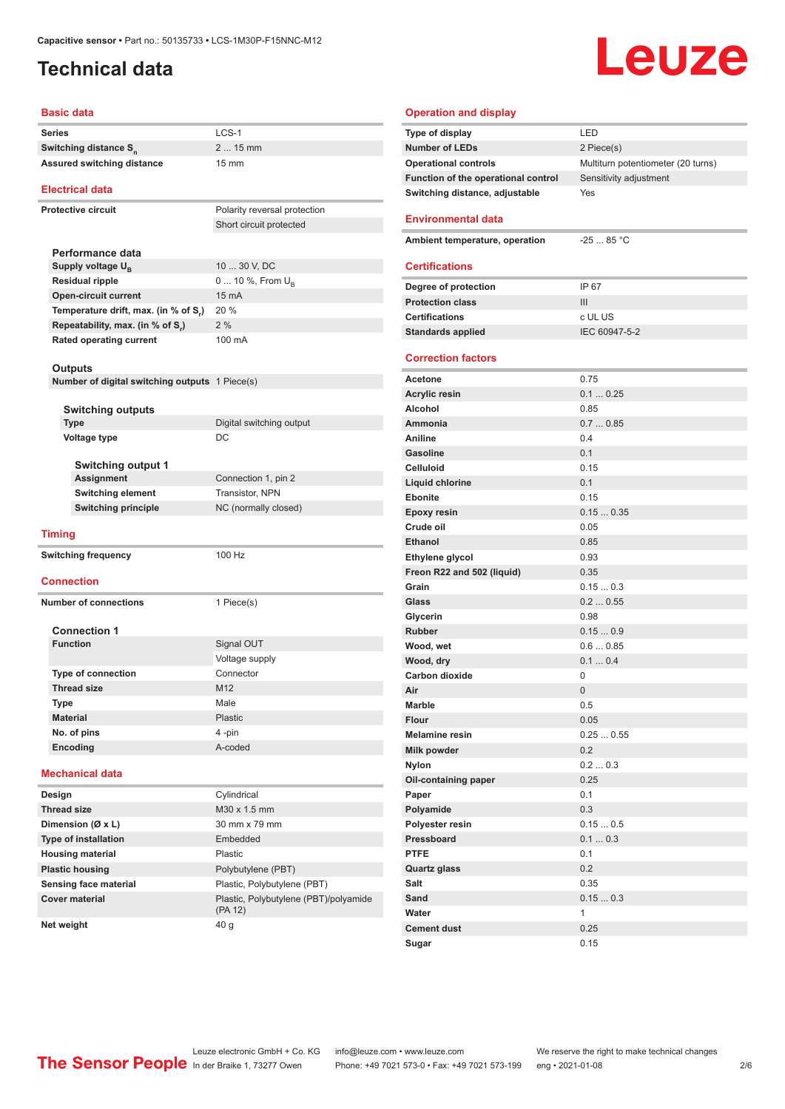#### <span id="page-1-0"></span>**Technical data**

# Leuze

#### **Basic data**

| <b>Series</b>                                  | $LCS-1$                      |  |  |
|------------------------------------------------|------------------------------|--|--|
| Switching distance S <sub>n</sub>              | 2  15 mm                     |  |  |
| Assured switching distance                     | 15 mm                        |  |  |
| <b>Electrical data</b>                         |                              |  |  |
| <b>Protective circuit</b>                      | Polarity reversal protection |  |  |
|                                                | Short circuit protected      |  |  |
|                                                |                              |  |  |
| Performance data                               |                              |  |  |
| Supply voltage U <sub>B</sub>                  | 10  30 V, DC                 |  |  |
| <b>Residual ripple</b>                         | 0  10 %, From U <sub>p</sub> |  |  |
| <b>Open-circuit current</b>                    | 15 mA                        |  |  |
| Temperature drift, max. (in % of S,)           | 20 %                         |  |  |
| Repeatability, max. (in % of S,)               | 2%                           |  |  |
| <b>Rated operating current</b>                 | 100 mA                       |  |  |
|                                                |                              |  |  |
| Outputs                                        |                              |  |  |
| Number of digital switching outputs 1 Piece(s) |                              |  |  |
|                                                |                              |  |  |
| <b>Switching outputs</b><br><b>Type</b>        | Digital switching output     |  |  |
| <b>Voltage type</b>                            | DC                           |  |  |
|                                                |                              |  |  |
| <b>Switching output 1</b>                      |                              |  |  |
| <b>Assignment</b>                              | Connection 1, pin 2          |  |  |
| <b>Switching element</b>                       | Transistor, NPN              |  |  |
| <b>Switching principle</b>                     | NC (normally closed)         |  |  |
|                                                |                              |  |  |
| <b>Timing</b>                                  |                              |  |  |
| <b>Switching frequency</b>                     | 100 Hz                       |  |  |
|                                                |                              |  |  |
| <b>Connection</b>                              |                              |  |  |
| <b>Number of connections</b>                   | 1 Piece(s)                   |  |  |
|                                                |                              |  |  |
| <b>Connection 1</b><br><b>Function</b>         |                              |  |  |
|                                                | Signal OUT                   |  |  |
|                                                | Voltage supply               |  |  |
| <b>Type of connection</b>                      | Connector                    |  |  |
| <b>Thread size</b>                             | M <sub>12</sub><br>Male      |  |  |
| Type                                           | Plastic                      |  |  |
| <b>Material</b>                                |                              |  |  |
| No. of pins<br>Encoding                        | 4 -pin                       |  |  |
|                                                | A-coded                      |  |  |
| <b>Mechanical data</b>                         |                              |  |  |
| Design                                         | Cylindrical                  |  |  |
| <b>Thread size</b>                             | M30 x 1.5 mm                 |  |  |
| Dimension (Ø x L)                              | 30 mm x 79 mm                |  |  |
| <b>Type of installation</b>                    | Embedded                     |  |  |
| <b>Housing material</b>                        | Plastic                      |  |  |
| <b>Plastic housing</b>                         | Polybutylene (PBT)           |  |  |
| Sensing face material                          | Plastic, Polybutylene (PBT)  |  |  |

| <b>Operation and display</b>        |                                    |
|-------------------------------------|------------------------------------|
| Type of display                     | LED                                |
| <b>Number of LEDs</b>               | 2 Piece(s)                         |
| <b>Operational controls</b>         | Multiturn potentiometer (20 turns) |
| Function of the operational control | Sensitivity adjustment             |
| Switching distance, adjustable      | Yes                                |
|                                     |                                    |
| <b>Environmental data</b>           |                                    |
| Ambient temperature, operation      | $-2585 °C$                         |
|                                     |                                    |
| <b>Certifications</b>               |                                    |
| Degree of protection                | IP 67                              |
| <b>Protection class</b>             | III                                |
| <b>Certifications</b>               | c UL US                            |
| <b>Standards applied</b>            | IEC 60947-5-2                      |
|                                     |                                    |
| <b>Correction factors</b>           |                                    |
| Acetone                             | 0.75                               |
| <b>Acrylic resin</b>                | 0.10.25                            |
| Alcohol                             | 0.85                               |
| Ammonia                             | 0.70.85                            |
| Aniline                             | 0.4                                |
| <b>Gasoline</b>                     | 0.1                                |
| <b>Celluloid</b>                    | 0.15                               |
| Liquid chlorine                     | 0.1                                |
| <b>Ebonite</b>                      | 0.15                               |
| <b>Epoxy resin</b>                  | 0.150.35                           |
| Crude oil                           | 0.05                               |
| <b>Ethanol</b>                      | 0.85                               |
| Ethylene glycol                     | 0.93                               |
| Freon R22 and 502 (liquid)          | 0.35                               |
| Grain                               | 0.150.3                            |
| Glass                               | 0.20.55                            |
| Glycerin                            | 0.98                               |
| <b>Rubber</b>                       | 0.150.9                            |
| Wood, wet                           | 0.60.85                            |
| Wood, dry                           | 0.10.4                             |
| Carbon dioxide                      | 0                                  |
| Air                                 | 0                                  |
| Marble                              | 0.5                                |
| <b>Flour</b>                        | 0.05                               |
| <b>Melamine resin</b>               | 0.250.55                           |
| Milk powder                         | 0.2                                |
| <b>Nylon</b>                        | 0.20.3                             |
| Oil-containing paper                | 0.25                               |
| Paper                               | 0.1                                |
| Polyamide                           | 0.3                                |
| Polyester resin<br>Pressboard       | 0.150.5                            |
| <b>PTFE</b>                         | 0.10.3<br>0.1                      |
|                                     | 0.2                                |
| <b>Quartz glass</b><br>Salt         | 0.35                               |
| Sand                                |                                    |
| Water                               | 0.150.3<br>1                       |
| <b>Cement dust</b>                  | 0.25                               |
| Sugar                               | 0.15                               |
|                                     |                                    |

**Net weight** 40 g

**Cover material Cover material** Plastic, Polybutylene (PBT)/polyamide

(PA 12)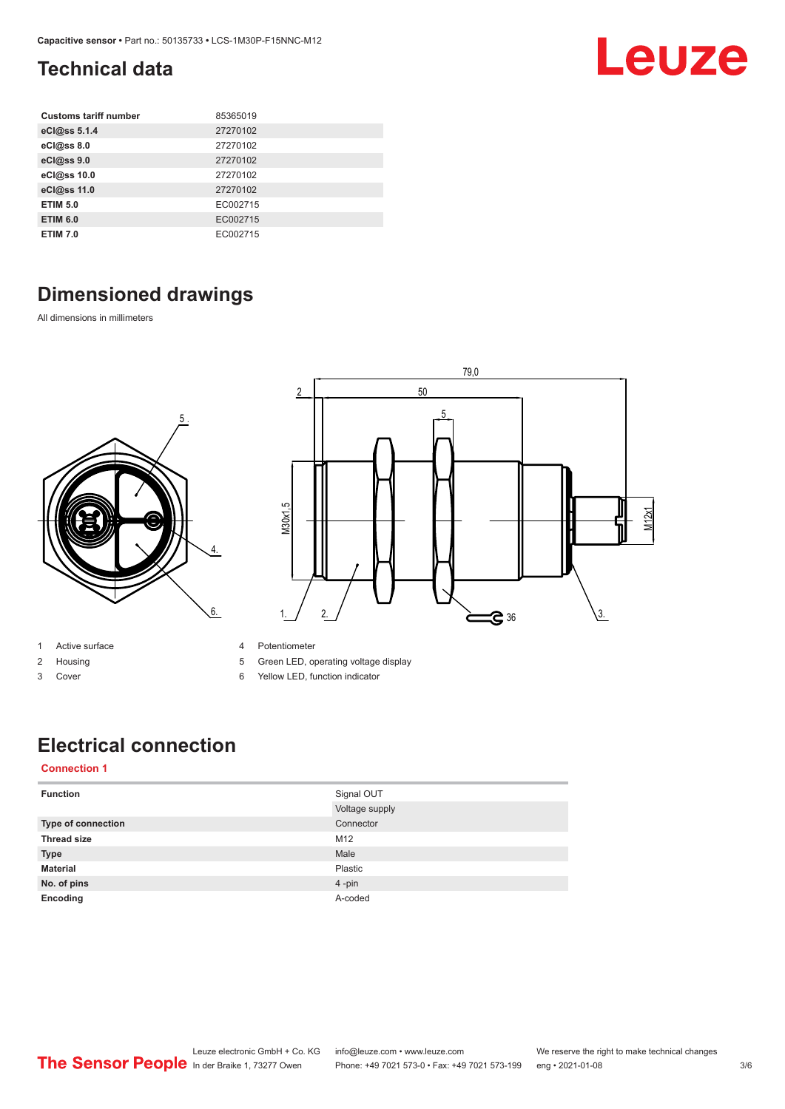#### <span id="page-2-0"></span>**Technical data**

| <b>Customs tariff number</b> | 85365019 |
|------------------------------|----------|
| eCl@ss 5.1.4                 | 27270102 |
| eCl@ss 8.0                   | 27270102 |
| eCl@ss 9.0                   | 27270102 |
| eCl@ss 10.0                  | 27270102 |
| eCl@ss 11.0                  | 27270102 |
| <b>ETIM 5.0</b>              | EC002715 |
| <b>ETIM 6.0</b>              | EC002715 |
| <b>ETIM 7.0</b>              | EC002715 |

### **Dimensioned drawings**

All dimensions in millimeters





- 1 Active surface
- 2 Housing
- 3 Cover
- 4 Potentiometer
- 5 Green LED, operating voltage display
- 6 Yellow LED, function indicator

### **Electrical connection**

#### **Connection 1**

| <b>Function</b>           | Signal OUT     |
|---------------------------|----------------|
|                           | Voltage supply |
| <b>Type of connection</b> | Connector      |
| <b>Thread size</b>        | M12            |
| <b>Type</b>               | Male           |
| <b>Material</b>           | Plastic        |
| No. of pins               | 4-pin          |
| Encoding                  | A-coded        |



Leuze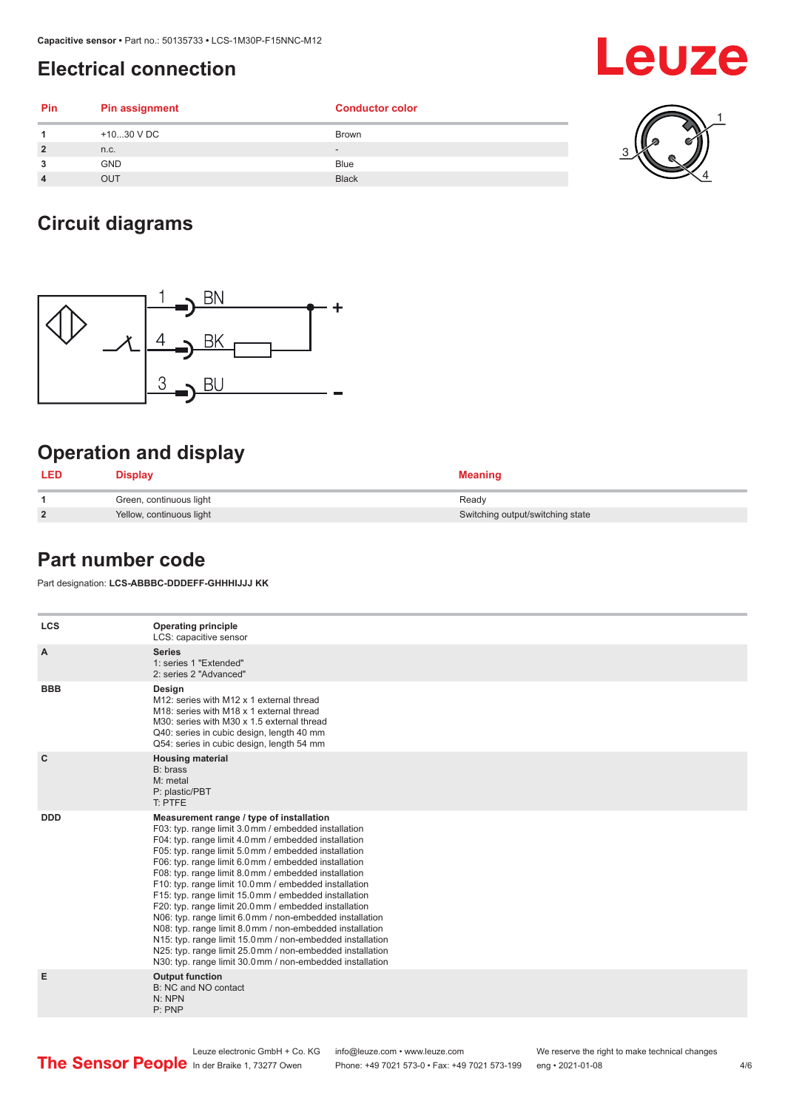#### <span id="page-3-0"></span>**Electrical connection**

| Pin            | Pin assignment | <b>Conductor color</b> |   |
|----------------|----------------|------------------------|---|
|                | +1030 V DC     | Brown                  | a |
| $\overline{2}$ | n.c.           | $\qquad \qquad -$      |   |
| 3              | <b>GND</b>     | Blue                   |   |
| $\overline{4}$ | <b>OUT</b>     | <b>Black</b>           |   |

#### **Circuit diagrams**



#### **Operation and display**

| <b>LED</b>     | Display                  | <b>Meaning</b>                   |
|----------------|--------------------------|----------------------------------|
|                | Green, continuous light  | Ready                            |
| $\overline{2}$ | Yellow, continuous light | Switching output/switching state |

#### **Part number code**

Part designation: **LCS-ABBBC-DDDEFF-GHHHIJJJ KK**

| <b>LCS</b>   | <b>Operating principle</b><br>LCS: capacitive sensor                                                                                                                                                                                                                                                                                                                                                                                                                                                                                                                                                                                                                                                                                                                                                                       |
|--------------|----------------------------------------------------------------------------------------------------------------------------------------------------------------------------------------------------------------------------------------------------------------------------------------------------------------------------------------------------------------------------------------------------------------------------------------------------------------------------------------------------------------------------------------------------------------------------------------------------------------------------------------------------------------------------------------------------------------------------------------------------------------------------------------------------------------------------|
| A            | <b>Series</b><br>1: series 1 "Extended"<br>2: series 2 "Advanced"                                                                                                                                                                                                                                                                                                                                                                                                                                                                                                                                                                                                                                                                                                                                                          |
| <b>BBB</b>   | Design<br>M12: series with M12 x 1 external thread<br>M18: series with M18 x 1 external thread<br>M30: series with M30 x 1.5 external thread<br>Q40: series in cubic design, length 40 mm<br>Q54: series in cubic design, length 54 mm                                                                                                                                                                                                                                                                                                                                                                                                                                                                                                                                                                                     |
| $\mathbf{C}$ | <b>Housing material</b><br>B: brass<br>M: metal<br>P: plastic/PBT<br>T: PTFE                                                                                                                                                                                                                                                                                                                                                                                                                                                                                                                                                                                                                                                                                                                                               |
| <b>DDD</b>   | Measurement range / type of installation<br>F03: typ. range limit 3.0 mm / embedded installation<br>F04: typ. range limit 4.0 mm / embedded installation<br>F05: typ. range limit 5.0 mm / embedded installation<br>F06: typ. range limit 6.0 mm / embedded installation<br>F08: typ. range limit 8.0 mm / embedded installation<br>F10: typ. range limit 10.0 mm / embedded installation<br>F15: typ. range limit 15.0 mm / embedded installation<br>F20: typ. range limit 20.0 mm / embedded installation<br>N06: typ. range limit 6.0 mm / non-embedded installation<br>N08: typ. range limit 8.0 mm / non-embedded installation<br>N15: typ. range limit 15.0 mm / non-embedded installation<br>N25: typ. range limit 25.0 mm / non-embedded installation<br>N30: typ. range limit 30.0 mm / non-embedded installation |
| Е            | <b>Output function</b><br>B: NC and NO contact<br>N: NPN<br>P: PNP                                                                                                                                                                                                                                                                                                                                                                                                                                                                                                                                                                                                                                                                                                                                                         |
|              |                                                                                                                                                                                                                                                                                                                                                                                                                                                                                                                                                                                                                                                                                                                                                                                                                            |

## Leuze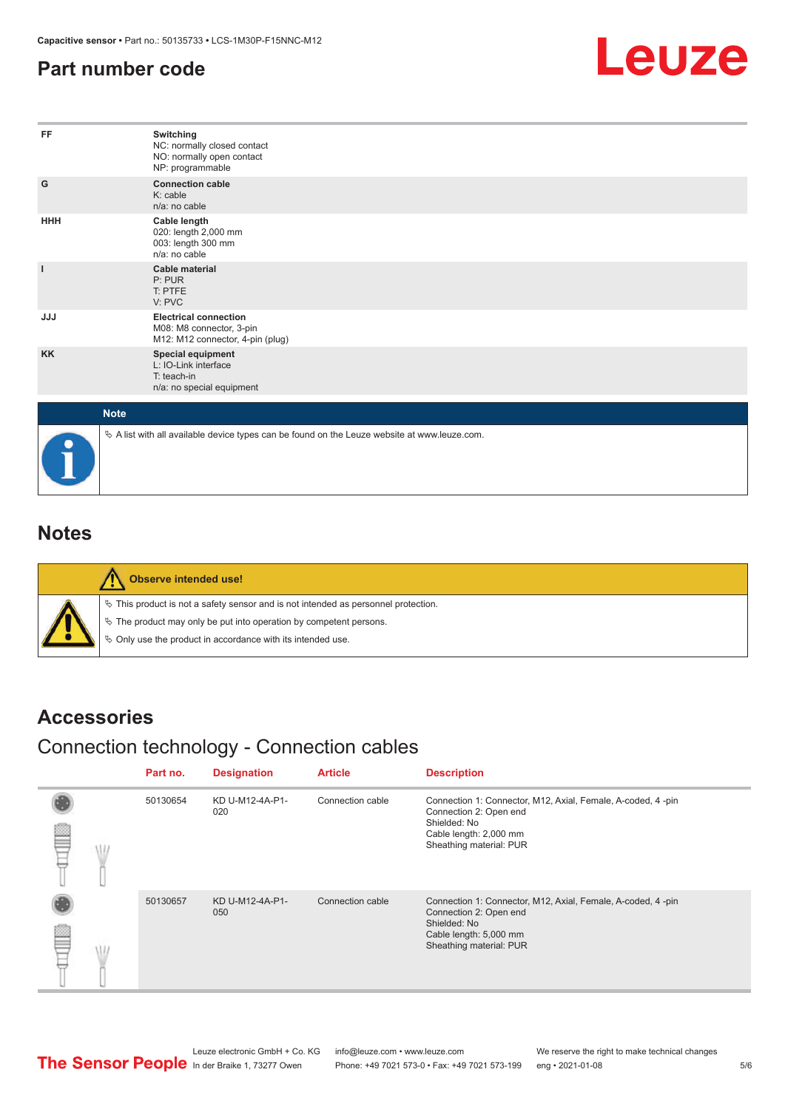#### <span id="page-4-0"></span>**Part number code**



| FF           | Switching<br>NC: normally closed contact<br>NO: normally open contact<br>NP: programmable       |
|--------------|-------------------------------------------------------------------------------------------------|
| G            | <b>Connection cable</b><br>K: cable<br>n/a: no cable                                            |
| <b>HHH</b>   | Cable length<br>020: length 2,000 mm<br>003: length 300 mm<br>n/a: no cable                     |
| $\mathbf{I}$ | <b>Cable material</b><br>P: PUR<br>T: PTFE<br>V: PVC                                            |
| <b>JJJ</b>   | <b>Electrical connection</b><br>M08: M8 connector, 3-pin<br>M12: M12 connector, 4-pin (plug)    |
| <b>KK</b>    | Special equipment<br>L: IO-Link interface<br>T: teach-in<br>n/a: no special equipment           |
| <b>Note</b>  |                                                                                                 |
|              | $\&$ A list with all available device types can be found on the Leuze website at www.leuze.com. |

#### **Notes**

| Observe intended use!                                                                                                                                                                                                            |
|----------------------------------------------------------------------------------------------------------------------------------------------------------------------------------------------------------------------------------|
| $\%$ This product is not a safety sensor and is not intended as personnel protection.<br>$\&$ The product may only be put into operation by competent persons.<br>$\%$ Only use the product in accordance with its intended use. |

#### **Accessories**

#### Connection technology - Connection cables

|  | Part no. | <b>Designation</b>     | <b>Article</b>   | <b>Description</b>                                                                                                                                         |
|--|----------|------------------------|------------------|------------------------------------------------------------------------------------------------------------------------------------------------------------|
|  | 50130654 | KD U-M12-4A-P1-<br>020 | Connection cable | Connection 1: Connector, M12, Axial, Female, A-coded, 4-pin<br>Connection 2: Open end<br>Shielded: No<br>Cable length: 2,000 mm<br>Sheathing material: PUR |
|  | 50130657 | KD U-M12-4A-P1-<br>050 | Connection cable | Connection 1: Connector, M12, Axial, Female, A-coded, 4-pin<br>Connection 2: Open end<br>Shielded: No<br>Cable length: 5,000 mm<br>Sheathing material: PUR |